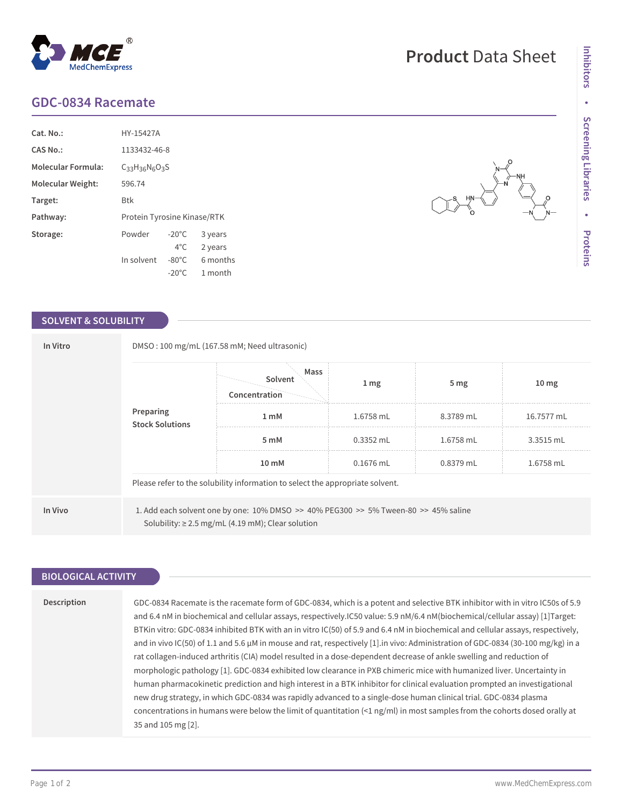## **GDC-0834 Racemate**

MedChemExpress

| $Cat. No.$ :              | HY-15427A                   |                 |          |  |
|---------------------------|-----------------------------|-----------------|----------|--|
| CAS No.:                  | 1133432-46-8                |                 |          |  |
| <b>Molecular Formula:</b> | $C_{33}H_{36}N_{6}O_{3}S$   |                 |          |  |
| Molecular Weight:         | 596.74                      |                 |          |  |
| Target:                   | Btk                         |                 |          |  |
| Pathway:                  | Protein Tyrosine Kinase/RTK |                 |          |  |
| Storage:                  | Powder                      | $-20^{\circ}$ C | 3 years  |  |
|                           |                             | $4^{\circ}$ C.  | 2 years  |  |
|                           | In solvent                  | $-80^{\circ}$ C | 6 months |  |
|                           |                             | $-20^{\circ}$ C | 1 month  |  |

 $^{\circledR}$ 

## **SOLVENT & SOLUBILITY**

| In Vitro                            | DMSO: 100 mg/mL (167.58 mM; Need ultrasonic)                                  |                                                                                                                                               |                 |                 |                  |  |  |
|-------------------------------------|-------------------------------------------------------------------------------|-----------------------------------------------------------------------------------------------------------------------------------------------|-----------------|-----------------|------------------|--|--|
| Preparing<br><b>Stock Solutions</b> |                                                                               | Mass<br>Solvent<br>Concentration                                                                                                              | 1 <sub>mg</sub> | 5 <sub>mg</sub> | 10 <sub>mg</sub> |  |  |
|                                     | 1 <sub>m</sub> M                                                              | 1.6758 mL                                                                                                                                     | 8.3789 mL       | 16.7577 mL      |                  |  |  |
|                                     |                                                                               | 5 mM                                                                                                                                          | $0.3352$ mL     | 1.6758 mL       | 3.3515 mL        |  |  |
|                                     | 10 mM                                                                         | $0.1676$ mL                                                                                                                                   | $0.8379$ mL     | 1.6758 mL       |                  |  |  |
|                                     | Please refer to the solubility information to select the appropriate solvent. |                                                                                                                                               |                 |                 |                  |  |  |
| In Vivo                             |                                                                               | 1. Add each solvent one by one: 10% DMSO >> 40% PEG300 >> 5% Tween-80 >> 45% saline<br>Solubility: $\geq$ 2.5 mg/mL (4.19 mM); Clear solution |                 |                 |                  |  |  |

| <b>BIOLOGICAL ACTIVITY</b> |                                                                                                                                                                                                                                                                                                                                                                                                                                                                                                                                                                                                                                                                                                                                                                                                                                                                                                                                                                                                                                                                                                                                                                                                   |  |  |  |  |
|----------------------------|---------------------------------------------------------------------------------------------------------------------------------------------------------------------------------------------------------------------------------------------------------------------------------------------------------------------------------------------------------------------------------------------------------------------------------------------------------------------------------------------------------------------------------------------------------------------------------------------------------------------------------------------------------------------------------------------------------------------------------------------------------------------------------------------------------------------------------------------------------------------------------------------------------------------------------------------------------------------------------------------------------------------------------------------------------------------------------------------------------------------------------------------------------------------------------------------------|--|--|--|--|
|                            |                                                                                                                                                                                                                                                                                                                                                                                                                                                                                                                                                                                                                                                                                                                                                                                                                                                                                                                                                                                                                                                                                                                                                                                                   |  |  |  |  |
| Description                | GDC-0834 Racemate is the racemate form of GDC-0834, which is a potent and selective BTK inhibitor with in vitro IC50s of 5.9<br>and 6.4 nM in biochemical and cellular assays, respectively.IC50 value: 5.9 nM/6.4 nM(biochemical/cellular assay) [1] Target:<br>BTKin vitro: GDC-0834 inhibited BTK with an in vitro IC(50) of 5.9 and 6.4 nM in biochemical and cellular assays, respectively,<br>and in vivo IC(50) of 1.1 and 5.6 $\mu$ M in mouse and rat, respectively [1] in vivo: Administration of GDC-0834 (30-100 mg/kg) in a<br>rat collagen-induced arthritis (CIA) model resulted in a dose-dependent decrease of ankle swelling and reduction of<br>morphologic pathology [1]. GDC-0834 exhibited low clearance in PXB chimeric mice with humanized liver. Uncertainty in<br>human pharmacokinetic prediction and high interest in a BTK inhibitor for clinical evaluation prompted an investigational<br>new drug strategy, in which GDC-0834 was rapidly advanced to a single-dose human clinical trial. GDC-0834 plasma<br>concentrations in humans were below the limit of quantitation $\leq 1$ ng/ml) in most samples from the cohorts dosed orally at<br>35 and 105 mg [2]. |  |  |  |  |